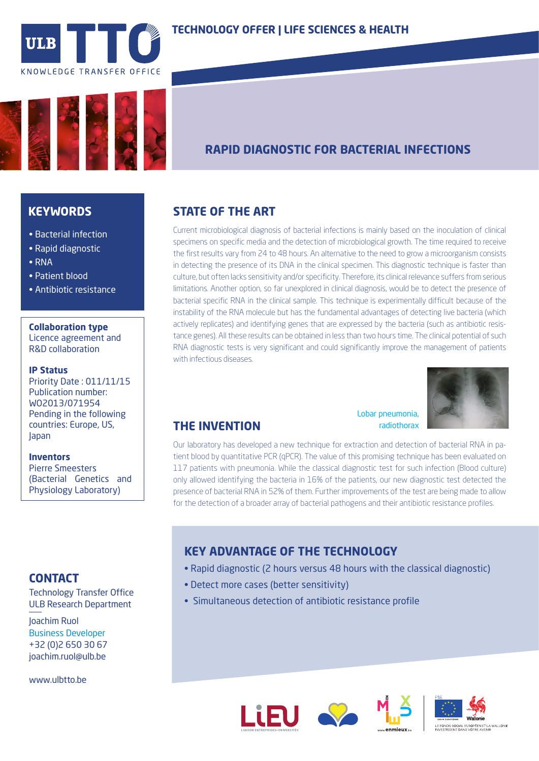



# **RAPID DIAGNOSTIC FOR BACTERIAL INFECTIONS**

### **KEYWORDS**

- Bacterial infection
- Rapid diagnostic
- RNA
- Patient blood
- Antibiotic resistance

#### **Collaboration type**

Licence agreement and R&D collaboration

#### **IP Status**

Priority Date : 011/11/15 Publication number: WO2013/071954 Pending in the following countries: Europe, US, Japan

#### **Inventors**

Pierre Smeesters (Bacterial Genetics and Physiology Laboratory)

### **CONTACT**

ULB Research Department

Joachim Ruol Business Developer +32 (0)2 650 30 67 joachim.ruol@ulb.be

www.ulbtto.be

## **STATE OF THE ART**

Current microbiological diagnosis of bacterial infections is mainly based on the inoculation of clinical specimens on specific media and the detection of microbiological growth. The time required to receive the first results vary from 24 to 48 hours. An alternative to the need to grow a microorganism consists in detecting the presence of its DNA in the clinical specimen. This diagnostic technique is faster than culture, but often lacks sensitivity and/or specificity. Therefore, its clinical relevance suffers from serious limitations. Another option, so far unexplored in clinical diagnosis, would be to detect the presence of bacterial specific RNA in the clinical sample. This technique is experimentally difficult because of the instability of the RNA molecule but has the fundamental advantages of detecting live bacteria (which actively replicates) and identifying genes that are expressed by the bacteria (such as antibiotic resistance genes). All these results can be obtained in less than two hours time. The clinical potential of such RNA diagnostic tests is very significant and could significantly improve the management of patients with infectious diseases.



# **THE INVENTION**

Lobar pneumonia, radiothorax

Our laboratory has developed a new technique for extraction and detection of bacterial RNA in patient blood by quantitative PCR (qPCR). The value of this promising technique has been evaluated on 117 patients with pneumonia. While the classical diagnostic test for such infection (Blood culture) only allowed identifying the bacteria in 16% of the patients, our new diagnostic test detected the presence of bacterial RNA in 52% of them. Further improvements of the test are being made to allow for the detection of a broader array of bacterial pathogens and their antibiotic resistance profiles.

## **KEY ADVANTAGE OF THE TECHNOLOGY**

- Rapid diagnostic (2 hours versus 48 hours with the classical diagnostic)
- Detect more cases (better sensitivity)
- **Fechnology Transfer Office**<br> **•** Simultaneous detection of antibiotic resistance profile<br> **•** Simultaneous detection of antibiotic resistance profile